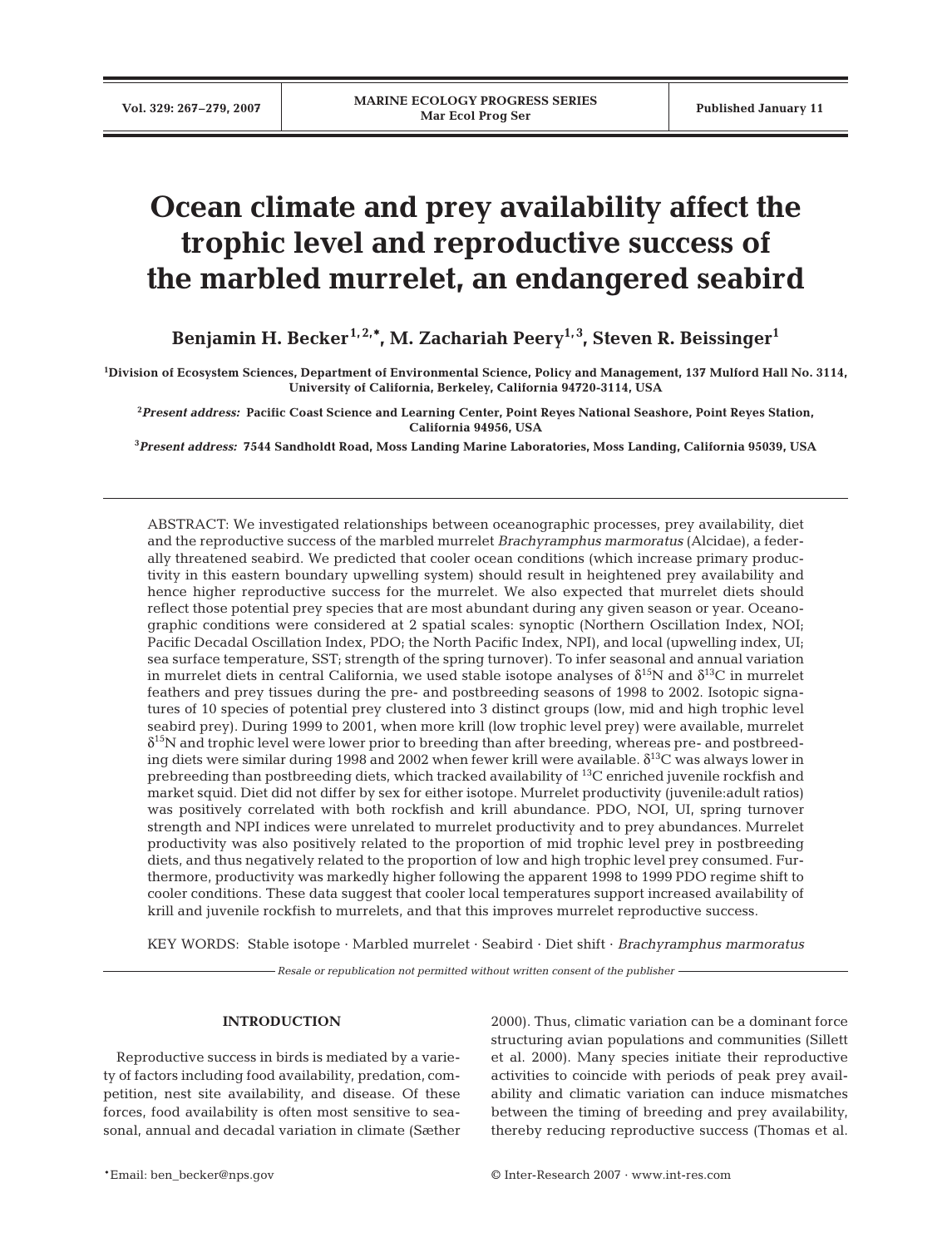# **Ocean climate and prey availability affect the trophic level and reproductive success of the marbled murrelet, an endangered seabird**

Benjamin H. Becker<sup>1, 2,\*</sup>, M. Zachariah Peery<sup>1, 3</sup>, Steven R. Beissinger<sup>1</sup>

**1 Division of Ecosystem Sciences, Department of Environmental Science, Policy and Management, 137 Mulford Hall No. 3114, University of California, Berkeley, California 94720-3114, USA**

**2** *Present address:* **Pacific Coast Science and Learning Center, Point Reyes National Seashore, Point Reyes Station, California 94956, USA**

**3** *Present address:* **7544 Sandholdt Road, Moss Landing Marine Laboratories, Moss Landing, California 95039, USA**

ABSTRACT: We investigated relationships between oceanographic processes, prey availability, diet and the reproductive success of the marbled murrelet *Brachyramphus marmoratus* (Alcidae), a federally threatened seabird. We predicted that cooler ocean conditions (which increase primary productivity in this eastern boundary upwelling system) should result in heightened prey availability and hence higher reproductive success for the murrelet. We also expected that murrelet diets should reflect those potential prey species that are most abundant during any given season or year. Oceanographic conditions were considered at 2 spatial scales: synoptic (Northern Oscillation Index, NOI; Pacific Decadal Oscillation Index, PDO; the North Pacific Index, NPI), and local (upwelling index, UI; sea surface temperature, SST; strength of the spring turnover). To infer seasonal and annual variation in murrelet diets in central California, we used stable isotope analyses of  $\delta^{15}N$  and  $\delta^{13}C$  in murrelet feathers and prey tissues during the pre- and postbreeding seasons of 1998 to 2002. Isotopic signatures of 10 species of potential prey clustered into 3 distinct groups (low, mid and high trophic level seabird prey). During 1999 to 2001, when more krill (low trophic level prey) were available, murrelet  $\delta^{15}$ N and trophic level were lower prior to breeding than after breeding, whereas pre- and postbreeding diets were similar during 1998 and 2002 when fewer krill were available.  $\delta^{13}C$  was always lower in prebreeding than postbreeding diets, which tracked availability of 13C enriched juvenile rockfish and market squid. Diet did not differ by sex for either isotope. Murrelet productivity (juvenile:adult ratios) was positively correlated with both rockfish and krill abundance. PDO, NOI, UI, spring turnover strength and NPI indices were unrelated to murrelet productivity and to prey abundances. Murrelet productivity was also positively related to the proportion of mid trophic level prey in postbreeding diets, and thus negatively related to the proportion of low and high trophic level prey consumed. Furthermore, productivity was markedly higher following the apparent 1998 to 1999 PDO regime shift to cooler conditions. These data suggest that cooler local temperatures support increased availability of krill and juvenile rockfish to murrelets, and that this improves murrelet reproductive success.

KEY WORDS: Stable isotope · Marbled murrelet · Seabird · Diet shift · *Brachyramphus marmoratus*

*Resale or republication not permitted without written consent of the publisher*

## **INTRODUCTION**

Reproductive success in birds is mediated by a variety of factors including food availability, predation, competition, nest site availability, and disease. Of these forces, food availability is often most sensitive to seasonal, annual and decadal variation in climate (Sæther 2000). Thus, climatic variation can be a dominant force structuring avian populations and communities (Sillett et al. 2000). Many species initiate their reproductive activities to coincide with periods of peak prey availability and climatic variation can induce mismatches between the timing of breeding and prey availability, thereby reducing reproductive success (Thomas et al.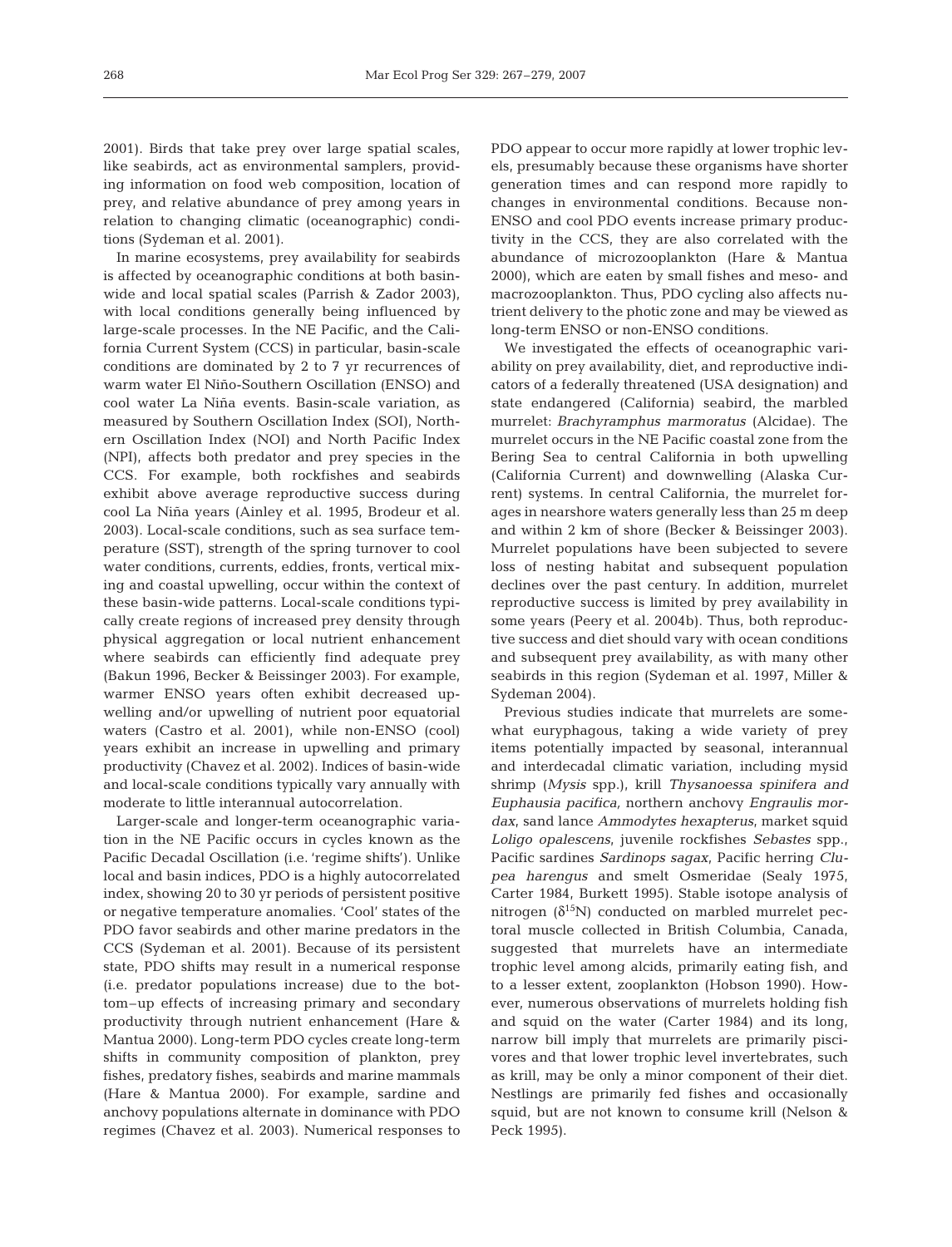2001). Birds that take prey over large spatial scales, like seabirds, act as environmental samplers, providing information on food web composition, location of prey, and relative abundance of prey among years in relation to changing climatic (oceanographic) conditions (Sydeman et al. 2001).

In marine ecosystems, prey availability for seabirds is affected by oceanographic conditions at both basinwide and local spatial scales (Parrish & Zador 2003), with local conditions generally being influenced by large-scale processes. In the NE Pacific, and the California Current System (CCS) in particular, basin-scale conditions are dominated by 2 to 7 yr recurrences of warm water El Niño-Southern Oscillation (ENSO) and cool water La Niña events. Basin-scale variation, as measured by Southern Oscillation Index (SOI), Northern Oscillation Index (NOI) and North Pacific Index (NPI), affects both predator and prey species in the CCS. For example, both rockfishes and seabirds exhibit above average reproductive success during cool La Niña years (Ainley et al. 1995, Brodeur et al. 2003). Local-scale conditions, such as sea surface temperature (SST), strength of the spring turnover to cool water conditions, currents, eddies, fronts, vertical mixing and coastal upwelling, occur within the context of these basin-wide patterns. Local-scale conditions typically create regions of increased prey density through physical aggregation or local nutrient enhancement where seabirds can efficiently find adequate prey (Bakun 1996, Becker & Beissinger 2003). For example, warmer ENSO years often exhibit decreased upwelling and/or upwelling of nutrient poor equatorial waters (Castro et al. 2001), while non-ENSO (cool) years exhibit an increase in upwelling and primary productivity (Chavez et al. 2002). Indices of basin-wide and local-scale conditions typically vary annually with moderate to little interannual autocorrelation.

Larger-scale and longer-term oceanographic variation in the NE Pacific occurs in cycles known as the Pacific Decadal Oscillation (i.e. 'regime shifts'). Unlike local and basin indices, PDO is a highly autocorrelated index, showing 20 to 30 yr periods of persistent positive or negative temperature anomalies. 'Cool' states of the PDO favor seabirds and other marine predators in the CCS (Sydeman et al. 2001). Because of its persistent state, PDO shifts may result in a numerical response (i.e. predator populations increase) due to the bottom–up effects of increasing primary and secondary productivity through nutrient enhancement (Hare & Mantua 2000). Long-term PDO cycles create long-term shifts in community composition of plankton, prey fishes, predatory fishes, seabirds and marine mammals (Hare & Mantua 2000). For example, sardine and anchovy populations alternate in dominance with PDO regimes (Chavez et al. 2003). Numerical responses to PDO appear to occur more rapidly at lower trophic levels, presumably because these organisms have shorter generation times and can respond more rapidly to changes in environmental conditions. Because non-ENSO and cool PDO events increase primary productivity in the CCS, they are also correlated with the abundance of microzooplankton (Hare & Mantua 2000), which are eaten by small fishes and meso- and macrozooplankton. Thus, PDO cycling also affects nutrient delivery to the photic zone and may be viewed as long-term ENSO or non-ENSO conditions.

We investigated the effects of oceanographic variability on prey availability, diet, and reproductive indicators of a federally threatened (USA designation) and state endangered (California) seabird, the marbled murrelet: *Brachyramphus marmoratus* (Alcidae). The murrelet occurs in the NE Pacific coastal zone from the Bering Sea to central California in both upwelling (California Current) and downwelling (Alaska Current) systems. In central California, the murrelet forages in nearshore waters generally less than 25 m deep and within 2 km of shore (Becker & Beissinger 2003). Murrelet populations have been subjected to severe loss of nesting habitat and subsequent population declines over the past century. In addition, murrelet reproductive success is limited by prey availability in some years (Peery et al. 2004b). Thus, both reproductive success and diet should vary with ocean conditions and subsequent prey availability, as with many other seabirds in this region (Sydeman et al. 1997, Miller & Sydeman 2004).

Previous studies indicate that murrelets are somewhat euryphagous, taking a wide variety of prey items potentially impacted by seasonal, interannual and interdecadal climatic variation, including mysid shrimp (*Mysis* spp.), krill *Thysanoessa spinifera and Euphausia pacifica,* northern anchovy *Engraulis mordax*, sand lance *Ammodytes hexapterus*, market squid *Loligo opalescens*, juvenile rockfishes *Sebastes* spp., Pacific sardines *Sardinops sagax*, Pacific herring *Clupea harengus* and smelt Osmeridae (Sealy 1975, Carter 1984, Burkett 1995). Stable isotope analysis of nitrogen  $(\delta^{15}N)$  conducted on marbled murrelet pectoral muscle collected in British Columbia, Canada, suggested that murrelets have an intermediate trophic level among alcids, primarily eating fish, and to a lesser extent, zooplankton (Hobson 1990). However, numerous observations of murrelets holding fish and squid on the water (Carter 1984) and its long, narrow bill imply that murrelets are primarily piscivores and that lower trophic level invertebrates, such as krill, may be only a minor component of their diet. Nestlings are primarily fed fishes and occasionally squid, but are not known to consume krill (Nelson & Peck 1995).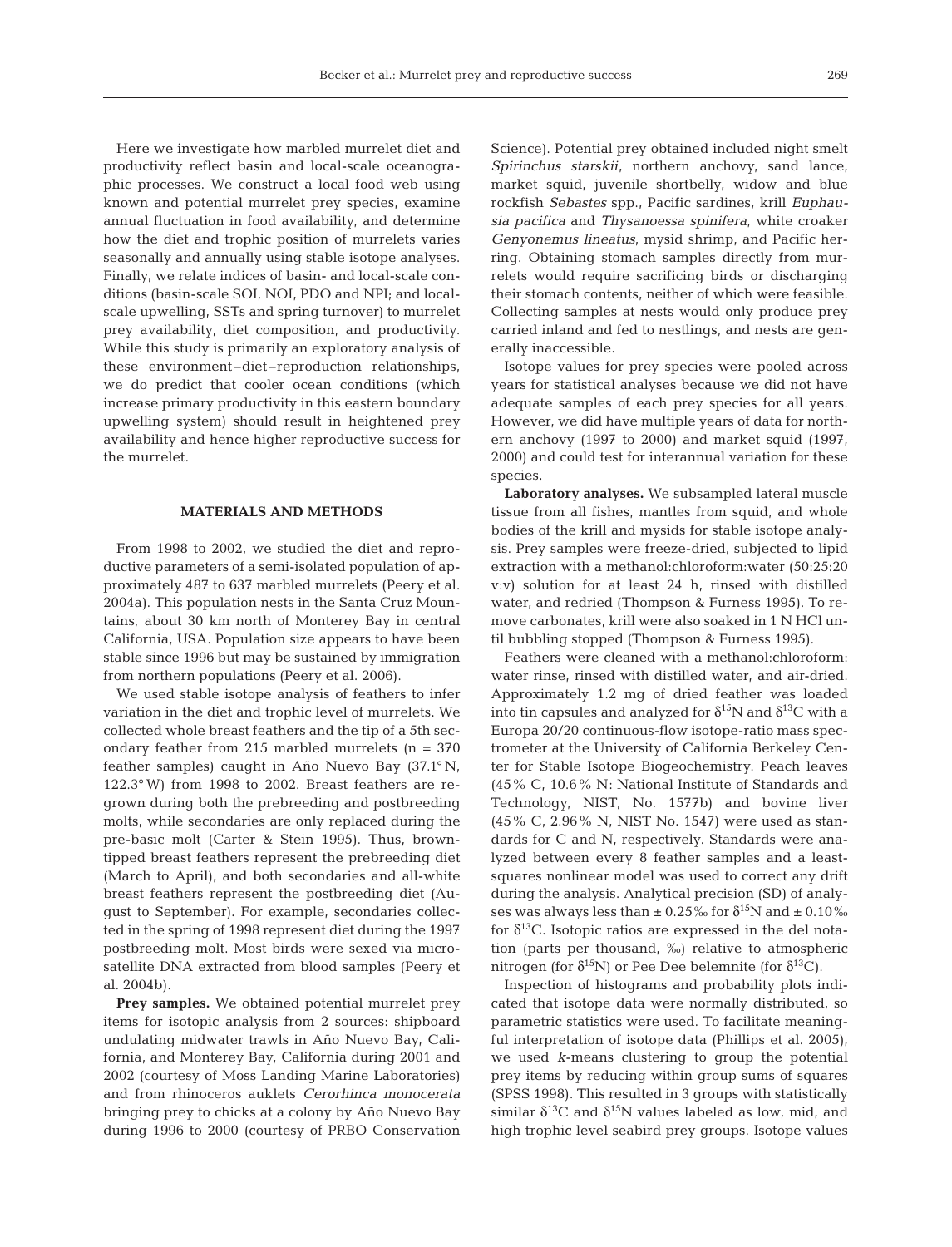Here we investigate how marbled murrelet diet and productivity reflect basin and local-scale oceanographic processes. We construct a local food web using known and potential murrelet prey species, examine annual fluctuation in food availability, and determine how the diet and trophic position of murrelets varies seasonally and annually using stable isotope analyses. Finally, we relate indices of basin- and local-scale conditions (basin-scale SOI, NOI, PDO and NPI; and localscale upwelling, SSTs and spring turnover) to murrelet prey availability, diet composition, and productivity. While this study is primarily an exploratory analysis of these environment–diet–reproduction relationships, we do predict that cooler ocean conditions (which increase primary productivity in this eastern boundary upwelling system) should result in heightened prey availability and hence higher reproductive success for the murrelet.

#### **MATERIALS AND METHODS**

From 1998 to 2002, we studied the diet and reproductive parameters of a semi-isolated population of approximately 487 to 637 marbled murrelets (Peery et al. 2004a). This population nests in the Santa Cruz Mountains, about 30 km north of Monterey Bay in central California, USA. Population size appears to have been stable since 1996 but may be sustained by immigration from northern populations (Peery et al. 2006).

We used stable isotope analysis of feathers to infer variation in the diet and trophic level of murrelets. We collected whole breast feathers and the tip of a 5th secondary feather from 215 marbled murrelets  $(n = 370)$ feather samples) caught in Año Nuevo Bay (37.1° N, 122.3° W) from 1998 to 2002. Breast feathers are regrown during both the prebreeding and postbreeding molts, while secondaries are only replaced during the pre-basic molt (Carter & Stein 1995). Thus, browntipped breast feathers represent the prebreeding diet (March to April), and both secondaries and all-white breast feathers represent the postbreeding diet (August to September). For example, secondaries collected in the spring of 1998 represent diet during the 1997 postbreeding molt. Most birds were sexed via microsatellite DNA extracted from blood samples (Peery et al. 2004b).

**Prey samples.** We obtained potential murrelet prey items for isotopic analysis from 2 sources: shipboard undulating midwater trawls in Año Nuevo Bay, California, and Monterey Bay, California during 2001 and 2002 (courtesy of Moss Landing Marine Laboratories) and from rhinoceros auklets *Cerorhinca monocerata* bringing prey to chicks at a colony by Año Nuevo Bay during 1996 to 2000 (courtesy of PRBO Conservation

Science). Potential prey obtained included night smelt *Spirinchus starskii*, northern anchovy, sand lance, market squid, juvenile shortbelly, widow and blue rockfish *Sebastes* spp., Pacific sardines, krill *Euphausia pacifica* and *Thysanoessa spinifera*, white croaker *Genyonemus lineatus*, mysid shrimp, and Pacific herring. Obtaining stomach samples directly from murrelets would require sacrificing birds or discharging their stomach contents, neither of which were feasible. Collecting samples at nests would only produce prey carried inland and fed to nestlings, and nests are generally inaccessible.

Isotope values for prey species were pooled across years for statistical analyses because we did not have adequate samples of each prey species for all years. However, we did have multiple years of data for northern anchovy (1997 to 2000) and market squid (1997, 2000) and could test for interannual variation for these species.

**Laboratory analyses.** We subsampled lateral muscle tissue from all fishes, mantles from squid, and whole bodies of the krill and mysids for stable isotope analysis. Prey samples were freeze-dried, subjected to lipid extraction with a methanol:chloroform:water (50:25:20 v:v) solution for at least 24 h, rinsed with distilled water, and redried (Thompson & Furness 1995). To remove carbonates, krill were also soaked in 1 N HCl until bubbling stopped (Thompson & Furness 1995).

Feathers were cleaned with a methanol:chloroform: water rinse, rinsed with distilled water, and air-dried. Approximately 1.2 mg of dried feather was loaded into tin capsules and analyzed for  $\delta^{15}N$  and  $\delta^{13}C$  with a Europa 20/20 continuous-flow isotope-ratio mass spectrometer at the University of California Berkeley Center for Stable Isotope Biogeochemistry. Peach leaves (45% C, 10.6% N: National Institute of Standards and Technology, NIST, No. 1577b) and bovine liver (45% C, 2.96% N, NIST No. 1547) were used as standards for C and N, respectively. Standards were analyzed between every 8 feather samples and a leastsquares nonlinear model was used to correct any drift during the analysis. Analytical precision (SD) of analyses was always less than  $\pm$  0.25% for  $\delta^{15}N$  and  $\pm$  0.10% for  $\delta^{13}$ C. Isotopic ratios are expressed in the del notation (parts per thousand, ‰) relative to atmospheric nitrogen (for  $\delta^{15}N$ ) or Pee Dee belemnite (for  $\delta^{13}C$ ).

Inspection of histograms and probability plots indicated that isotope data were normally distributed, so parametric statistics were used. To facilitate meaningful interpretation of isotope data (Phillips et al. 2005), we used *k*-means clustering to group the potential prey items by reducing within group sums of squares (SPSS 1998). This resulted in 3 groups with statistically similar  $\delta^{13}$ C and  $\delta^{15}$ N values labeled as low, mid, and high trophic level seabird prey groups. Isotope values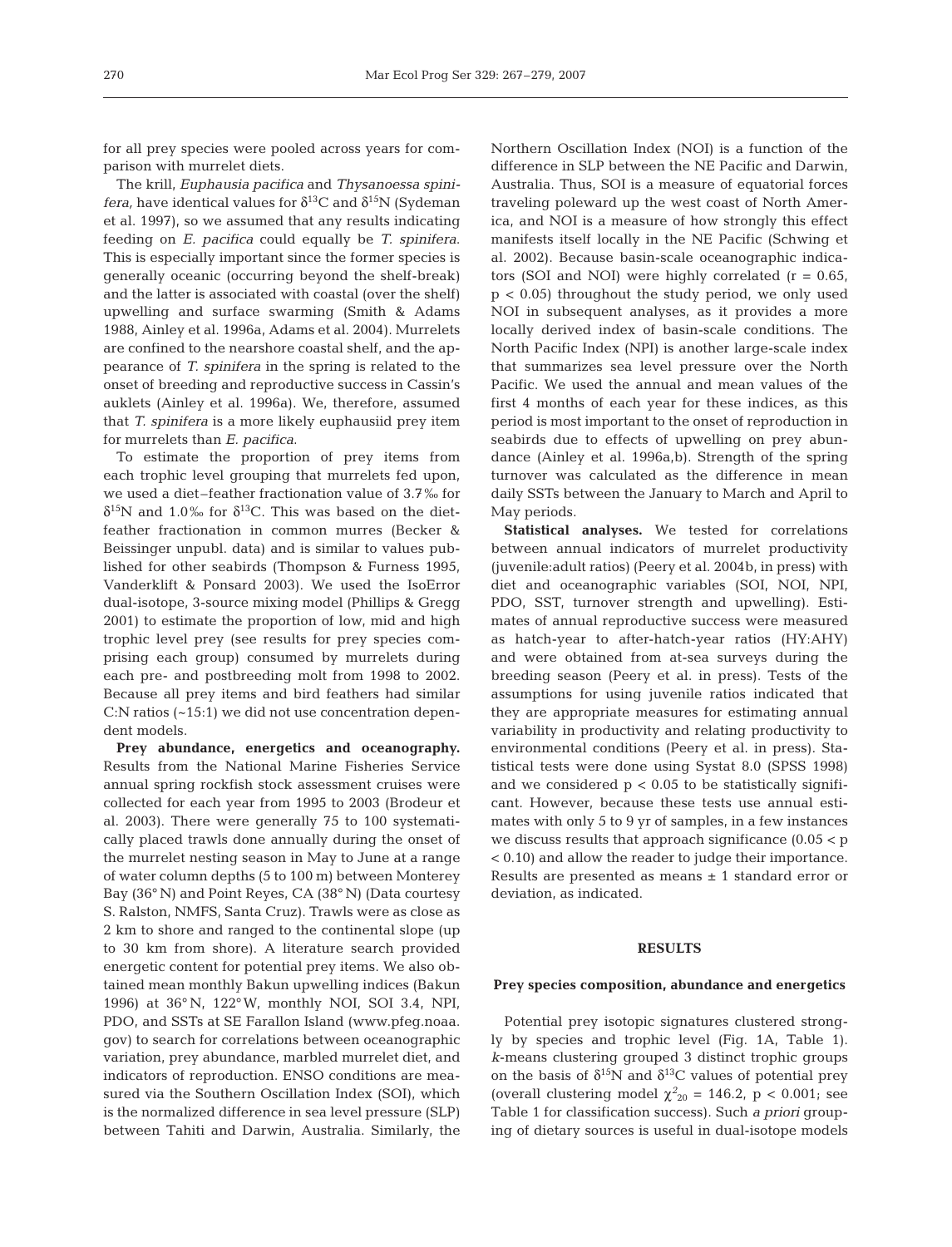for all prey species were pooled across years for comparison with murrelet diets.

The krill, *Euphausia pacifica* and *Thysanoessa spinifera,* have identical values for  $\delta^{13}C$  and  $\delta^{15}N$  (Sydeman et al. 1997), so we assumed that any results indicating feeding on *E. pacifica* could equally be *T. spinifera*. This is especially important since the former species is generally oceanic (occurring beyond the shelf-break) and the latter is associated with coastal (over the shelf) upwelling and surface swarming (Smith & Adams 1988, Ainley et al. 1996a, Adams et al. 2004). Murrelets are confined to the nearshore coastal shelf, and the appearance of *T. spinifera* in the spring is related to the onset of breeding and reproductive success in Cassin's auklets (Ainley et al. 1996a). We, therefore, assumed that *T. spinifera* is a more likely euphausiid prey item for murrelets than *E. pacifica*.

To estimate the proportion of prey items from each trophic level grouping that murrelets fed upon, we used a diet–feather fractionation value of 3.7‰ for  $δ<sup>15</sup>N$  and 1.0‰ for  $δ<sup>13</sup>C$ . This was based on the dietfeather fractionation in common murres (Becker & Beissinger unpubl. data) and is similar to values published for other seabirds (Thompson & Furness 1995, Vanderklift & Ponsard 2003). We used the IsoError dual-isotope, 3-source mixing model (Phillips & Gregg 2001) to estimate the proportion of low, mid and high trophic level prey (see results for prey species comprising each group) consumed by murrelets during each pre- and postbreeding molt from 1998 to 2002. Because all prey items and bird feathers had similar C:N ratios (~15:1) we did not use concentration dependent models.

**Prey abundance, energetics and oceanography.** Results from the National Marine Fisheries Service annual spring rockfish stock assessment cruises were collected for each year from 1995 to 2003 (Brodeur et al. 2003). There were generally 75 to 100 systematically placed trawls done annually during the onset of the murrelet nesting season in May to June at a range of water column depths (5 to 100 m) between Monterey Bay (36° N) and Point Reyes, CA (38° N) (Data courtesy S. Ralston, NMFS, Santa Cruz). Trawls were as close as 2 km to shore and ranged to the continental slope (up to 30 km from shore). A literature search provided energetic content for potential prey items. We also obtained mean monthly Bakun upwelling indices (Bakun 1996) at 36° N, 122°W, monthly NOI, SOI 3.4, NPI, PDO, and SSTs at SE Farallon Island (www.pfeg.noaa. gov) to search for correlations between oceanographic variation, prey abundance, marbled murrelet diet, and indicators of reproduction. ENSO conditions are measured via the Southern Oscillation Index (SOI), which is the normalized difference in sea level pressure (SLP) between Tahiti and Darwin, Australia. Similarly, the

Northern Oscillation Index (NOI) is a function of the difference in SLP between the NE Pacific and Darwin, Australia. Thus, SOI is a measure of equatorial forces traveling poleward up the west coast of North America, and NOI is a measure of how strongly this effect manifests itself locally in the NE Pacific (Schwing et al. 2002). Because basin-scale oceanographic indicators (SOI and NOI) were highly correlated  $(r = 0.65,$ p < 0.05) throughout the study period, we only used NOI in subsequent analyses, as it provides a more locally derived index of basin-scale conditions. The North Pacific Index (NPI) is another large-scale index that summarizes sea level pressure over the North Pacific. We used the annual and mean values of the first 4 months of each year for these indices, as this period is most important to the onset of reproduction in seabirds due to effects of upwelling on prey abundance (Ainley et al. 1996a,b). Strength of the spring turnover was calculated as the difference in mean daily SSTs between the January to March and April to May periods.

**Statistical analyses.** We tested for correlations between annual indicators of murrelet productivity (juvenile:adult ratios) (Peery et al. 2004b, in press) with diet and oceanographic variables (SOI, NOI, NPI, PDO, SST, turnover strength and upwelling). Estimates of annual reproductive success were measured as hatch-year to after-hatch-year ratios (HY:AHY) and were obtained from at-sea surveys during the breeding season (Peery et al. in press). Tests of the assumptions for using juvenile ratios indicated that they are appropriate measures for estimating annual variability in productivity and relating productivity to environmental conditions (Peery et al. in press). Statistical tests were done using Systat 8.0 (SPSS 1998) and we considered  $p < 0.05$  to be statistically significant. However, because these tests use annual estimates with only 5 to 9 yr of samples, in a few instances we discuss results that approach significance (0.05 < p < 0.10) and allow the reader to judge their importance. Results are presented as means  $\pm$  1 standard error or deviation, as indicated.

#### **RESULTS**

#### **Prey species composition, abundance and energetics**

Potential prey isotopic signatures clustered strongly by species and trophic level (Fig. 1A, Table 1). *k*-means clustering grouped 3 distinct trophic groups on the basis of  $\delta^{15}N$  and  $\delta^{13}C$  values of potential prey (overall clustering model  $\chi^2_{20} = 146.2$ , p < 0.001; see Table 1 for classification success). Such *a priori* grouping of dietary sources is useful in dual-isotope models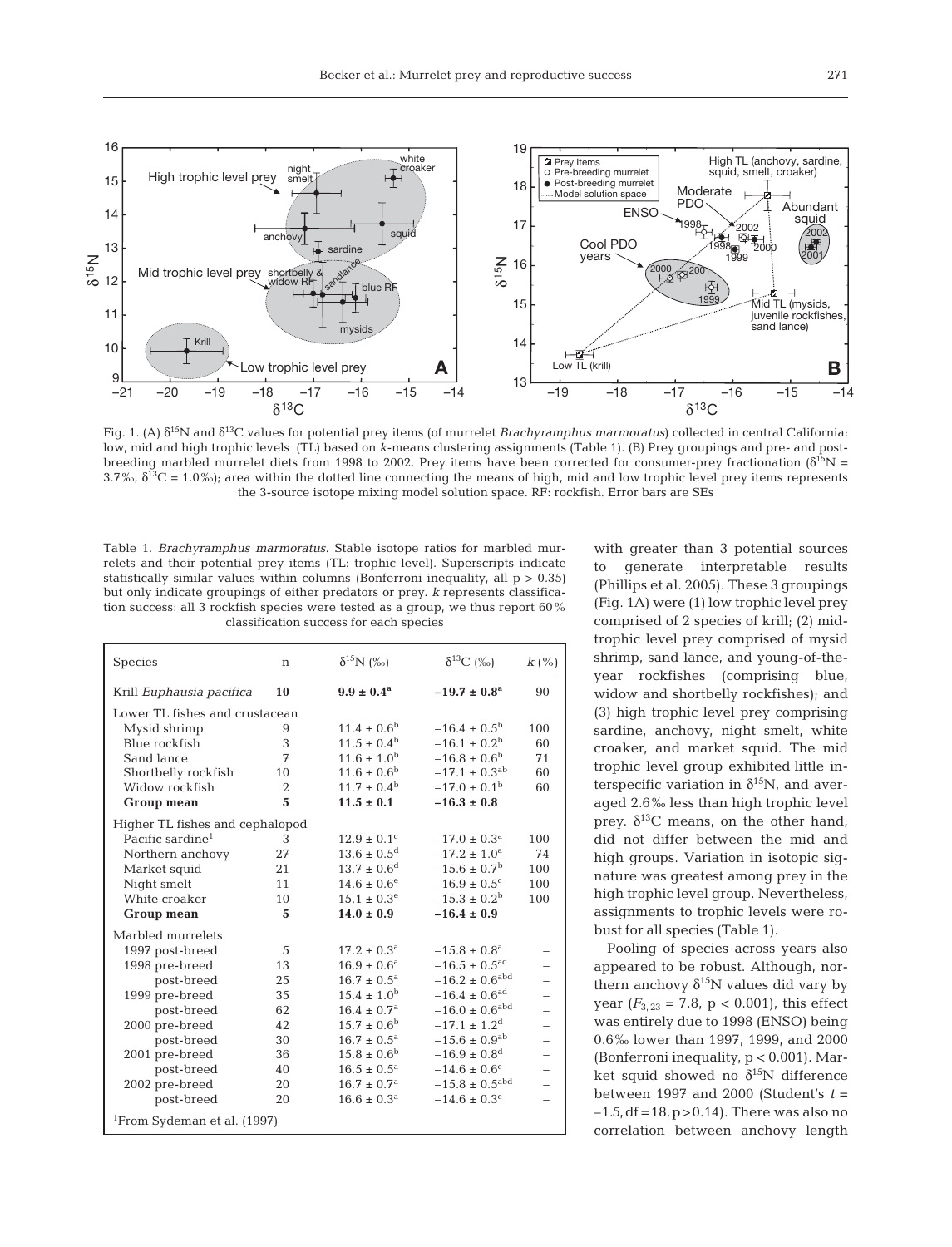

Fig. 1. (A)  $\delta^{15}$ N and  $\delta^{13}$ C values for potential prey items (of murrelet *Brachyramphus marmoratus*) collected in central California; low, mid and high trophic levels (TL) based on *k*-means clustering assignments (Table 1). (B) Prey groupings and pre- and postbreeding marbled murrelet diets from 1998 to 2002. Prey items have been corrected for consumer-prey fractionation ( $\delta^{15}N =$ 3.7‰,  $\delta^{13}C = 1.0$ ‰); area within the dotted line connecting the means of high, mid and low trophic level prey items represents the 3-source isotope mixing model solution space. RF: rockfish. Error bars are SEs

Table 1. *Brachyramphus marmoratus*. Stable isotope ratios for marbled murrelets and their potential prey items (TL: trophic level). Superscripts indicate statistically similar values within columns (Bonferroni inequality, all  $p > 0.35$ ) but only indicate groupings of either predators or prey. *k* represents classification success: all 3 rockfish species were tested as a group, we thus report 60% classification success for each species

| Species                                 | n               | $\delta^{15}N$ (%o)         | $\delta^{13}C$ (‰)             | $k\left(\%\right)$ |
|-----------------------------------------|-----------------|-----------------------------|--------------------------------|--------------------|
| Krill Euphausia pacifica                | 10              | $9.9 \pm 0.4^{\rm a}$       | $-19.7 \pm 0.8^{\rm a}$        | 90                 |
| Lower TL fishes and crustacean          |                 |                             |                                |                    |
| Mysid shrimp                            | 9               | $11.4 \pm 0.6^{\rm b}$      | $-16.4 \pm 0.5^{\rm b}$        | 100                |
| Blue rockfish                           | 3               | $11.5 \pm 0.4^{\rm b}$      | $-16.1 \pm 0.2^{\rm b}$        | 60                 |
| Sand lance                              | 7               | $11.6 \pm 1.0^{\rm b}$      | $-16.8 \pm 0.6^{\rm b}$        | 71                 |
| Shortbelly rockfish                     | 10              | $11.6 \pm 0.6^{\rm b}$      | $-17.1 \pm 0.3$ <sup>ab</sup>  | 60                 |
| Widow rockfish                          | $\overline{2}$  | $11.7 \pm 0.4^{\rm b}$      | $-17.0 \pm 0.1^{\rm b}$        | 60                 |
| <b>Group mean</b>                       | 5               | $11.5 \pm 0.1$              | $-16.3 \pm 0.8$                |                    |
| Higher TL fishes and cephalopod         |                 |                             |                                |                    |
| Pacific sardine <sup>1</sup>            | 3               | $12.9 \pm 0.1$ <sup>c</sup> | $-17.0 \pm 0.3$ <sup>a</sup>   | 100                |
| Northern anchovy                        | 27              | $13.6 \pm 0.5^{\rm d}$      | $-17.2 \pm 1.0^{\circ}$        | 74                 |
| Market squid                            | 21              | $13.7 \pm 0.6^{\rm d}$      | $-15.6 \pm 0.7^{\rm b}$        | 100                |
| Night smelt                             | 11              | $14.6 \pm 0.6^{\circ}$      | $-16.9 \pm 0.5$ <sup>c</sup>   | 100                |
| White croaker                           | 10 <sup>1</sup> | $15.1 \pm 0.3^e$            | $-15.3 \pm 0.2^{\rm b}$        | 100                |
| Group mean                              | 5               | $14.0 \pm 0.9$              | $-16.4 \pm 0.9$                |                    |
| Marbled murrelets                       |                 |                             |                                |                    |
| 1997 post-breed                         | 5               | $17.2 \pm 0.3^{\rm a}$      | $-15.8 \pm 0.8$ <sup>a</sup>   |                    |
| 1998 pre-breed                          | 13              | $16.9 \pm 0.6^a$            | $-16.5 \pm 0.5$ <sup>ad</sup>  |                    |
| post-breed                              | 25              | $16.7 \pm 0.5^{\rm a}$      | $-16.2 \pm 0.6^{\text{abd}}$   |                    |
| 1999 pre-breed                          | 35              | $15.4 \pm 1.0^{\rm b}$      | $-16.4 \pm 0.6$ <sup>ad</sup>  |                    |
| post-breed                              | 62              | $16.4 \pm 0.7$ <sup>a</sup> | $-16.0 \pm 0.6$ <sup>abd</sup> |                    |
| 2000 pre-breed                          | 42              | $15.7 \pm 0.6^{\rm b}$      | $-17.1 \pm 1.2$ <sup>d</sup>   |                    |
| post-breed                              | 30              | $16.7 \pm 0.5^{\rm a}$      | $-15.6 \pm 0.9$ <sup>ab</sup>  |                    |
| 2001 pre-breed                          | 36              | $15.8 \pm 0.6^{\rm b}$      | $-16.9 \pm 0.8$ <sup>d</sup>   |                    |
| post-breed                              | 40              | $16.5 \pm 0.5^{\rm a}$      | $-14.6 \pm 0.6^{\circ}$        |                    |
| 2002 pre-breed                          | 20              | $16.7 \pm 0.7^{\rm a}$      | $-15.8 \pm 0.5$ <sup>abd</sup> |                    |
| post-breed                              | 20              | $16.6 \pm 0.3^a$            | $-14.6 \pm 0.3$ <sup>c</sup>   |                    |
| <sup>1</sup> From Sydeman et al. (1997) |                 |                             |                                |                    |

with greater than 3 potential sources to generate interpretable results (Phillips et al. 2005). These 3 groupings (Fig. 1A) were (1) low trophic level prey comprised of 2 species of krill; (2) midtrophic level prey comprised of mysid shrimp, sand lance, and young-of-theyear rockfishes (comprising blue, widow and shortbelly rockfishes); and (3) high trophic level prey comprising sardine, anchovy, night smelt, white croaker, and market squid. The mid trophic level group exhibited little interspecific variation in  $\delta^{15}N$ , and averaged 2.6‰ less than high trophic level prey.  $\delta^{13}$ C means, on the other hand, did not differ between the mid and high groups. Variation in isotopic signature was greatest among prey in the high trophic level group. Nevertheless, assignments to trophic levels were robust for all species (Table 1).

Pooling of species across years also appeared to be robust. Although, northern anchovy  $\delta^{15}N$  values did vary by year  $(F_{3, 23} = 7.8, p < 0.001)$ , this effect was entirely due to 1998 (ENSO) being 0.6‰ lower than 1997, 1999, and 2000 (Bonferroni inequality, p < 0.001). Market squid showed no  $\delta^{15}N$  difference between 1997 and 2000 (Student's *t* =  $-1.5$ , df = 18, p > 0.14). There was also no correlation between anchovy length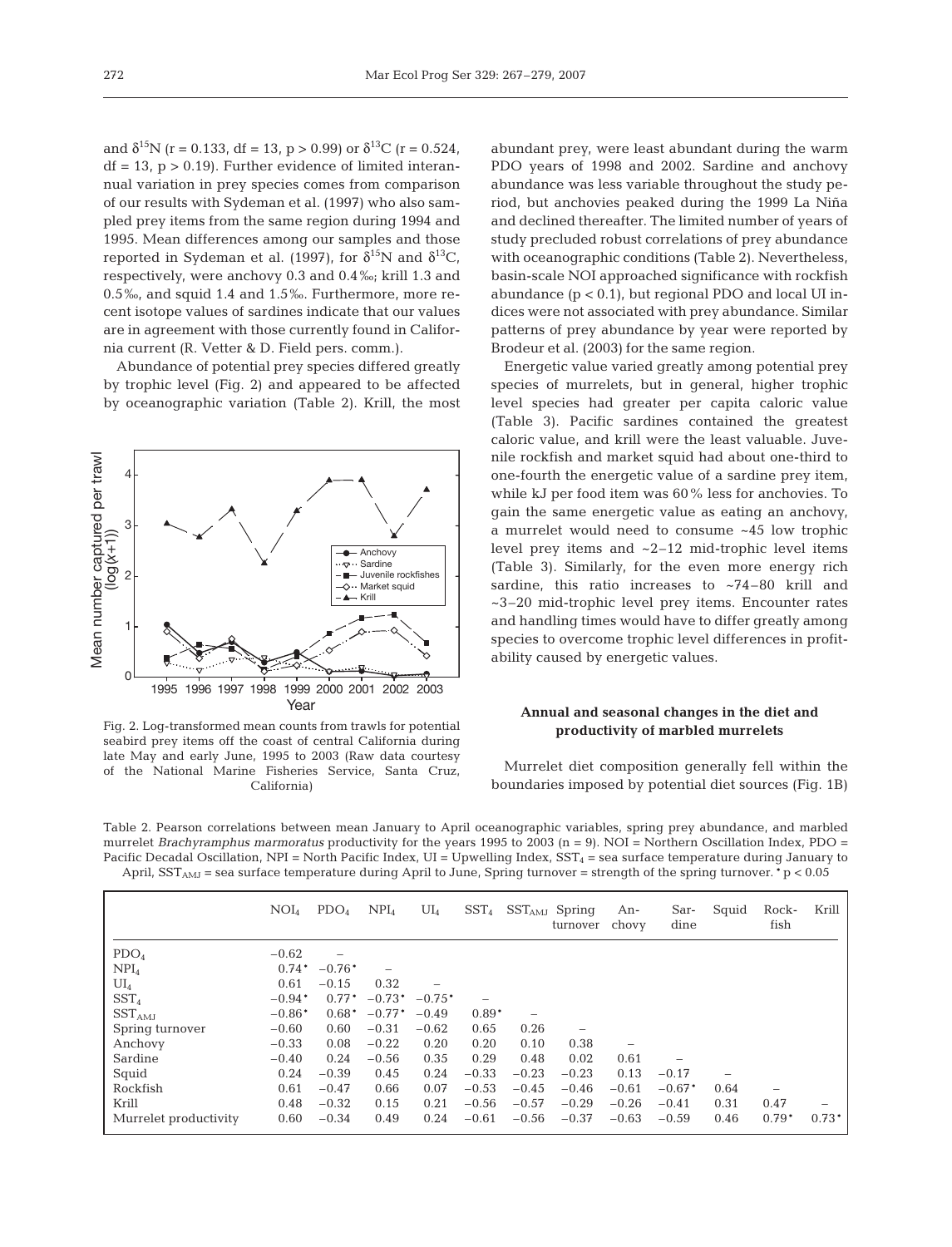and  $\delta^{15}N$  (r = 0.133, df = 13, p > 0.99) or  $\delta^{13}C$  (r = 0.524,  $df = 13$ ,  $p > 0.19$ . Further evidence of limited interannual variation in prey species comes from comparison of our results with Sydeman et al. (1997) who also sampled prey items from the same region during 1994 and 1995. Mean differences among our samples and those reported in Sydeman et al. (1997), for  $\delta^{15}N$  and  $\delta^{13}C$ , respectively, were anchovy 0.3 and 0.4‰; krill 1.3 and 0.5‰, and squid 1.4 and 1.5‰. Furthermore, more recent isotope values of sardines indicate that our values are in agreement with those currently found in California current (R. Vetter & D. Field pers. comm.).

Abundance of potential prey species differed greatly by trophic level (Fig. 2) and appeared to be affected by oceanographic variation (Table 2). Krill, the most



Fig. 2. Log-transformed mean counts from trawls for potential seabird prey items off the coast of central California during late May and early June, 1995 to 2003 (Raw data courtesy of the National Marine Fisheries Service, Santa Cruz, California)

abundant prey, were least abundant during the warm PDO years of 1998 and 2002. Sardine and anchovy abundance was less variable throughout the study period, but anchovies peaked during the 1999 La Niña and declined thereafter. The limited number of years of study precluded robust correlations of prey abundance with oceanographic conditions (Table 2). Nevertheless, basin-scale NOI approached significance with rockfish abundance  $(p < 0.1)$ , but regional PDO and local UI indices were not associated with prey abundance. Similar patterns of prey abundance by year were reported by Brodeur et al. (2003) for the same region.

Energetic value varied greatly among potential prey species of murrelets, but in general, higher trophic level species had greater per capita caloric value (Table 3). Pacific sardines contained the greatest caloric value, and krill were the least valuable. Juvenile rockfish and market squid had about one-third to one-fourth the energetic value of a sardine prey item, while kJ per food item was 60% less for anchovies. To gain the same energetic value as eating an anchovy, a murrelet would need to consume ~45 low trophic level prey items and ~2–12 mid-trophic level items (Table 3). Similarly, for the even more energy rich sardine, this ratio increases to ~74-80 krill and ~3–20 mid-trophic level prey items. Encounter rates and handling times would have to differ greatly among species to overcome trophic level differences in profitability caused by energetic values.

## **Annual and seasonal changes in the diet and productivity of marbled murrelets**

Murrelet diet composition generally fell within the boundaries imposed by potential diet sources (Fig. 1B)

Table 2. Pearson correlations between mean January to April oceanographic variables, spring prey abundance, and marbled murrelet *Brachyramphus marmoratus* productivity for the years 1995 to 2003 (n = 9). NOI = Northern Oscillation Index, PDO = Pacific Decadal Oscillation, NPI = North Pacific Index, UI = Upwelling Index,  $SST_4$  = sea surface temperature during January to April,  $SST_{AMI}$  = sea surface temperature during April to June, Spring turnover = strength of the spring turnover. \*p < 0.05

|                       | $\mathrm{NOI}_4$ | PDO <sub>4</sub> | NPI <sub>4</sub> | $UI_4$   | SST <sub>4</sub> |         | $SSTAMI$ Spring<br>turnover | An-<br>chovy | Sar-<br>dine             | Squid | Rock-<br>fish | Krill   |
|-----------------------|------------------|------------------|------------------|----------|------------------|---------|-----------------------------|--------------|--------------------------|-------|---------------|---------|
| PDO <sub>4</sub>      | $-0.62$          | -                |                  |          |                  |         |                             |              |                          |       |               |         |
| NPI <sub>4</sub>      | $0.74*$          | $-0.76*$         |                  |          |                  |         |                             |              |                          |       |               |         |
| $UI_4$                | 0.61             | $-0.15$          | 0.32             |          |                  |         |                             |              |                          |       |               |         |
| SST <sub>4</sub>      | $-0.94*$         | $0.77*$          | $-0.73*$         | $-0.75*$ | -                |         |                             |              |                          |       |               |         |
| SST <sub>AMI</sub>    | $-0.86*$         | $0.68*$          | $-0.77*$         | $-0.49$  | $0.89*$          |         |                             |              |                          |       |               |         |
| Spring turnover       | $-0.60$          | 0.60             | $-0.31$          | $-0.62$  | 0.65             | 0.26    | -                           |              |                          |       |               |         |
| Anchovy               | $-0.33$          | 0.08             | $-0.22$          | 0.20     | 0.20             | 0.10    | 0.38                        |              |                          |       |               |         |
| Sardine               | $-0.40$          | 0.24             | $-0.56$          | 0.35     | 0.29             | 0.48    | 0.02                        | 0.61         | $\overline{\phantom{0}}$ |       |               |         |
| Squid                 | 0.24             | $-0.39$          | 0.45             | 0.24     | $-0.33$          | $-0.23$ | $-0.23$                     | 0.13         | $-0.17$                  |       |               |         |
| Rockfish              | 0.61             | $-0.47$          | 0.66             | 0.07     | $-0.53$          | $-0.45$ | $-0.46$                     | $-0.61$      | $-0.67*$                 | 0.64  |               |         |
| Krill                 | 0.48             | $-0.32$          | 0.15             | 0.21     | $-0.56$          | $-0.57$ | $-0.29$                     | $-0.26$      | $-0.41$                  | 0.31  | 0.47          |         |
| Murrelet productivity | 0.60             | $-0.34$          | 0.49             | 0.24     | $-0.61$          | $-0.56$ | $-0.37$                     | $-0.63$      | $-0.59$                  | 0.46  | $0.79*$       | $0.73*$ |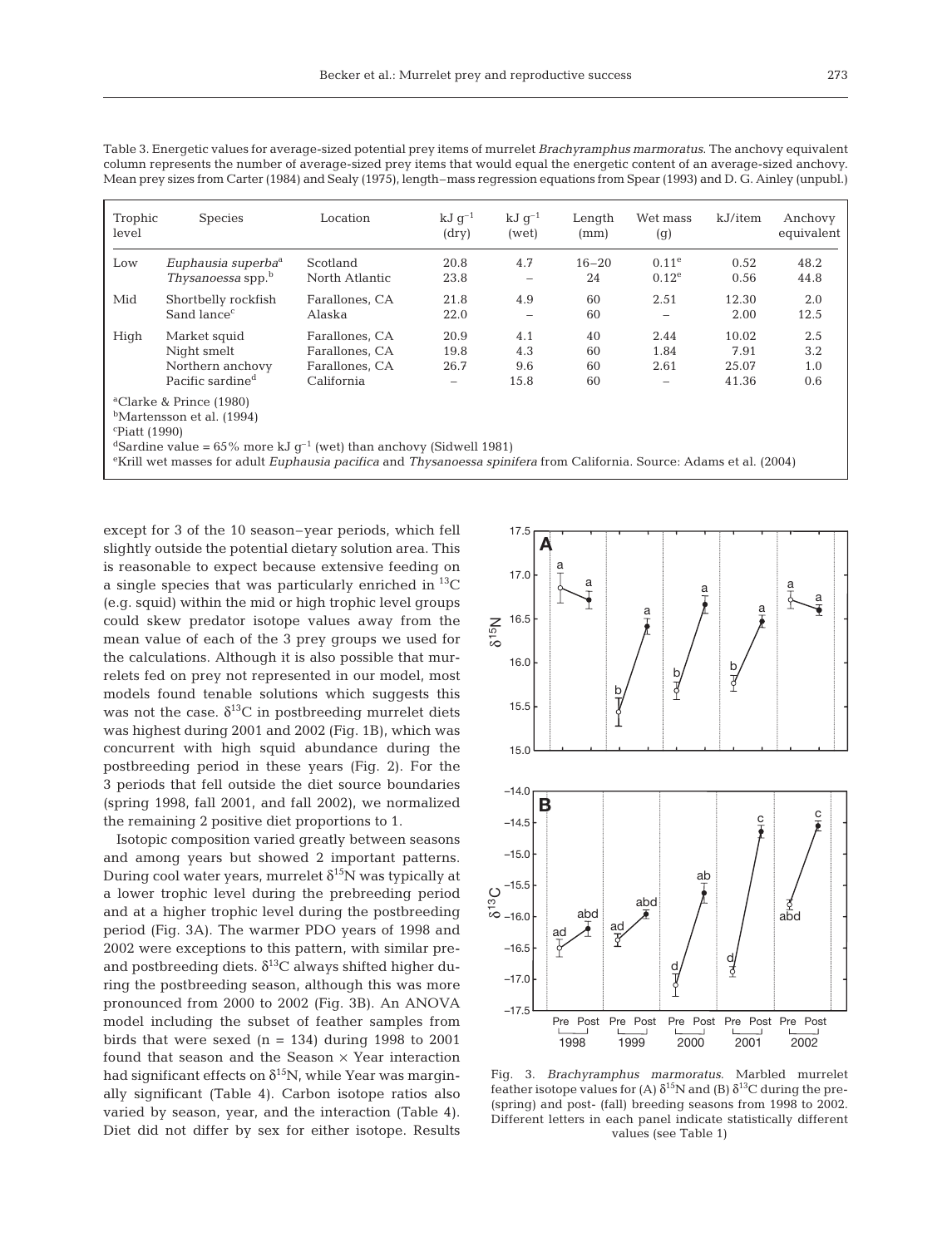|  | ۹           |
|--|-------------|
|  | ×<br>$\sim$ |

Trophic Species Location  $kJ g^{-1}$   $kJ g^{-1}$  Length Wet-mass kJ/item Anchovy level (dry) (wet) (mm) (g) equivalent Low *Euphausia superba*<sup>a</sup> Scotland 20.8 4.7 16–20 0.11e 0.52 48.2 *Thysanoessa* spp.<sup>b</sup> Mid Shortbelly rockfish Farallones, CA 21.8 4.9 60 2.51 12.30 2.0<br>Sand lance<sup>c</sup> Alaska 22.0 – 60 – 2.00 12.5  $S$ and lance<sup>c</sup> 2.00 .– 2.00 .– 2.00 .– 2.00 .12.5 High Market squid Farallones, CA 20.9 4.1 40 2.44 10.02 2.5 Night smelt Farallones, CA 19.8 4.3 60 1.84 7.91 3.2 Northern anchovy Farallones, CA 26.7 9.6 60 2.61 25.07 1.0<br>Pacific sardine<sup>d</sup> California – 15.8 60 – 41.36 0.6 Pacific sardine<sup>d</sup>

Table 3. Energetic values for average-sized potential prey items of murrelet *Brachyramphus marmoratus*. The anchovy equivalent column represents the number of average-sized prey items that would equal the energetic content of an average-sized anchovy. Mean prey sizes from Carter (1984) and Sealy (1975), length–mass regression equations from Spear (1993) and D. G. Ainley (unpubl.)

a Clarke & Prince (1980)

bMartensson et al. (1994)

c Piatt (1990)

<sup>d</sup>Sardine value =  $65\%$  more kJ g<sup>-1</sup> (wet) than anchovy (Sidwell 1981)

e Krill wet masses for adult *Euphausia pacifica* and *Thysanoessa spinifera* from California. Source: Adams et al. (2004)

except for 3 of the 10 season–year periods, which fell slightly outside the potential dietary solution area. This is reasonable to expect because extensive feeding on a single species that was particularly enriched in  ${}^{13}C$ (e.g. squid) within the mid or high trophic level groups could skew predator isotope values away from the mean value of each of the 3 prey groups we used for the calculations. Although it is also possible that murrelets fed on prey not represented in our model, most models found tenable solutions which suggests this was not the case.  $\delta^{13}$ C in postbreeding murrelet diets was highest during 2001 and 2002 (Fig. 1B), which was concurrent with high squid abundance during the postbreeding period in these years (Fig. 2). For the 3 periods that fell outside the diet source boundaries (spring 1998, fall 2001, and fall 2002), we normalized the remaining 2 positive diet proportions to 1.

Isotopic composition varied greatly between seasons and among years but showed 2 important patterns. During cool water years, murrelet  $\delta^{15}N$  was typically at a lower trophic level during the prebreeding period and at a higher trophic level during the postbreeding period (Fig. 3A). The warmer PDO years of 1998 and 2002 were exceptions to this pattern, with similar preand postbreeding diets.  $\delta^{13}$ C always shifted higher during the postbreeding season, although this was more pronounced from 2000 to 2002 (Fig. 3B). An ANOVA model including the subset of feather samples from birds that were sexed  $(n = 134)$  during 1998 to 2001 found that season and the Season  $\times$  Year interaction had significant effects on  $\delta^{15}N$ , while Year was marginally significant (Table 4). Carbon isotope ratios also varied by season, year, and the interaction (Table 4). Diet did not differ by sex for either isotope. Results



Fig. 3. *Brachyramphus marmoratus*. Marbled murrelet feather isotope values for (A)  $\delta^{15}N$  and (B)  $\delta^{13}C$  during the pre-(spring) and post- (fall) breeding seasons from 1998 to 2002. Different letters in each panel indicate statistically different values (see Table 1)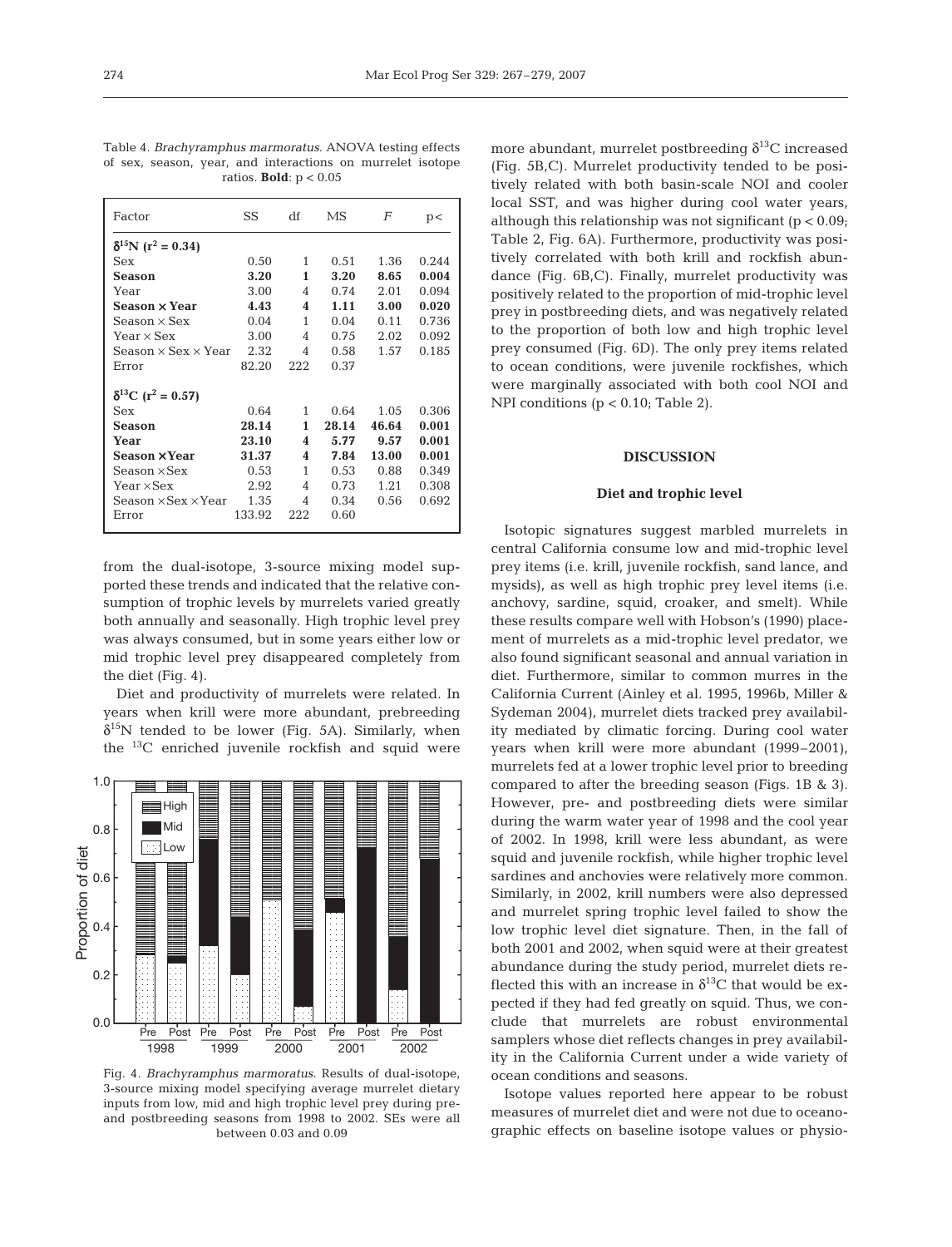Table 4. *Brachyramphus marmoratus*. ANOVA testing effects of sex, season, year, and interactions on murrelet isotope ratios. **Bold**: p < 0.05

| Factor                                 | SS     | df             | MS    | F     | p<    |
|----------------------------------------|--------|----------------|-------|-------|-------|
| $\delta^{15}N$ (r <sup>2</sup> = 0.34) |        |                |       |       |       |
| Sex                                    | 0.50   | $\mathbf{1}$   | 0.51  | 1.36  | 0.244 |
| Season                                 | 3.20   | 1              | 3.20  | 8.65  | 0.004 |
| Year                                   | 3.00   | $\overline{4}$ | 0.74  | 2.01  | 0.094 |
| Season × Year                          | 4.43   | 4              | 1.11  | 3.00  | 0.020 |
| $Season \times Sex$                    | 0.04   | 1              | 0.04  | 0.11  | 0.736 |
| Year $\times$ Sex                      | 3.00   | 4              | 0.75  | 2.02  | 0.092 |
| Season $\times$ Sex $\times$ Year      | 2.32   | 4              | 0.58  | 1.57  | 0.185 |
| Error                                  | 82.20  | 222            | 0.37  |       |       |
| $\delta^{13}C$ (r <sup>2</sup> = 0.57) |        |                |       |       |       |
| Sex                                    | 0.64   | $\mathbf{1}$   | 0.64  | 1.05  | 0.306 |
| Season                                 | 28.14  | $\mathbf{1}$   | 28.14 | 46.64 | 0.001 |
| Year                                   | 23.10  | 4              | 5.77  | 9.57  | 0.001 |
| Season ×Year                           | 31.37  | 4              | 7.84  | 13.00 | 0.001 |
| Season × Sex                           | 0.53   | 1              | 0.53  | 0.88  | 0.349 |
| Year × Sex                             | 2.92   | 4              | 0.73  | 1.21  | 0.308 |
| Season $\times$ Sex $\times$ Year      | 1.35   | 4              | 0.34  | 0.56  | 0.692 |
| Error                                  | 133.92 | 222            | 0.60  |       |       |

from the dual-isotope, 3-source mixing model supported these trends and indicated that the relative consumption of trophic levels by murrelets varied greatly both annually and seasonally. High trophic level prey was always consumed, but in some years either low or mid trophic level prey disappeared completely from the diet (Fig. 4).

Diet and productivity of murrelets were related. In years when krill were more abundant, prebreeding  $\delta^{15}$ N tended to be lower (Fig. 5A). Similarly, when the 13C enriched juvenile rockfish and squid were



Fig. 4. *Brachyramphus marmoratus*. Results of dual-isotope, 3-source mixing model specifying average murrelet dietary inputs from low, mid and high trophic level prey during preand postbreeding seasons from 1998 to 2002. SEs were all between 0.03 and 0.09

more abundant, murrelet postbreeding  $\delta^{13}$ C increased (Fig. 5B,C). Murrelet productivity tended to be positively related with both basin-scale NOI and cooler local SST, and was higher during cool water years, although this relationship was not significant ( $p < 0.09$ ; Table 2, Fig. 6A). Furthermore, productivity was positively correlated with both krill and rockfish abundance (Fig. 6B,C). Finally, murrelet productivity was positively related to the proportion of mid-trophic level prey in postbreeding diets, and was negatively related to the proportion of both low and high trophic level prey consumed (Fig. 6D). The only prey items related to ocean conditions, were juvenile rockfishes, which were marginally associated with both cool NOI and NPI conditions (p < 0.10; Table 2).

# **DISCUSSION**

# **Diet and trophic level**

Isotopic signatures suggest marbled murrelets in central California consume low and mid-trophic level prey items (i.e. krill, juvenile rockfish, sand lance, and mysids), as well as high trophic prey level items (i.e. anchovy, sardine, squid, croaker, and smelt). While these results compare well with Hobson's (1990) placement of murrelets as a mid-trophic level predator, we also found significant seasonal and annual variation in diet. Furthermore, similar to common murres in the California Current (Ainley et al. 1995, 1996b, Miller & Sydeman 2004), murrelet diets tracked prey availability mediated by climatic forcing. During cool water years when krill were more abundant (1999–2001), murrelets fed at a lower trophic level prior to breeding compared to after the breeding season (Figs. 1B & 3). However, pre- and postbreeding diets were similar during the warm water year of 1998 and the cool year of 2002. In 1998, krill were less abundant, as were squid and juvenile rockfish, while higher trophic level sardines and anchovies were relatively more common. Similarly, in 2002, krill numbers were also depressed and murrelet spring trophic level failed to show the low trophic level diet signature. Then, in the fall of both 2001 and 2002, when squid were at their greatest abundance during the study period, murrelet diets reflected this with an increase in  $\delta^{13}$ C that would be expected if they had fed greatly on squid. Thus, we conclude that murrelets are robust environmental samplers whose diet reflects changes in prey availability in the California Current under a wide variety of ocean conditions and seasons.

Isotope values reported here appear to be robust measures of murrelet diet and were not due to oceanographic effects on baseline isotope values or physio-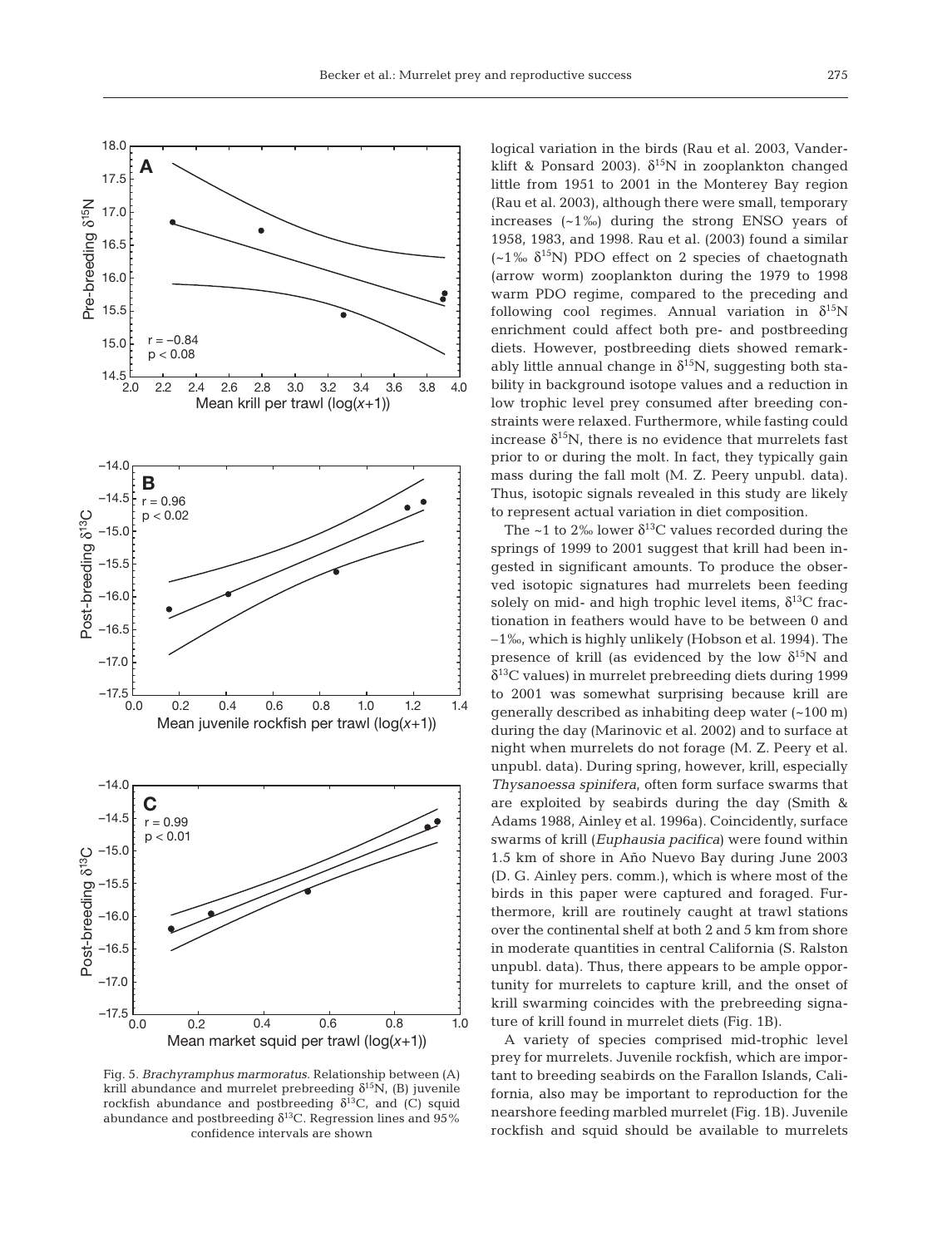

Fig. 5. *Brachyramphus marmoratus*. Relationship between (A) krill abundance and murrelet prebreeding  $\delta^{15}N$ , (B) juvenile rockfish abundance and postbreeding  $\delta^{13}C$ , and (C) squid abundance and postbreeding  $\delta^{13}$ C. Regression lines and 95% confidence intervals are shown

logical variation in the birds (Rau et al. 2003, Vanderklift & Ponsard 2003).  $\delta^{15}N$  in zooplankton changed little from 1951 to 2001 in the Monterey Bay region (Rau et al. 2003), although there were small, temporary increases (~1‰) during the strong ENSO years of 1958, 1983, and 1998. Rau et al. (2003) found a similar  $(-1)$ <sub>%</sub>  $\delta^{15}$ N) PDO effect on 2 species of chaetognath (arrow worm) zooplankton during the 1979 to 1998 warm PDO regime, compared to the preceding and following cool regimes. Annual variation in  $\delta^{15}N$ enrichment could affect both pre- and postbreeding diets. However, postbreeding diets showed remarkably little annual change in  $\delta^{15}N$ , suggesting both stability in background isotope values and a reduction in low trophic level prey consumed after breeding constraints were relaxed. Furthermore, while fasting could increase  $\delta^{15}N$ , there is no evidence that murrelets fast prior to or during the molt. In fact, they typically gain mass during the fall molt (M. Z. Peery unpubl. data). Thus, isotopic signals revealed in this study are likely to represent actual variation in diet composition.

The ~1 to 2% lower  $\delta^{13}$ C values recorded during the springs of 1999 to 2001 suggest that krill had been ingested in significant amounts. To produce the observed isotopic signatures had murrelets been feeding solely on mid- and high trophic level items,  $\delta^{13}$ C fractionation in feathers would have to be between 0 and –1‰, which is highly unlikely (Hobson et al. 1994). The presence of krill (as evidenced by the low  $\delta^{15}N$  and  $\delta^{13}$ C values) in murrelet prebreeding diets during 1999 to 2001 was somewhat surprising because krill are generally described as inhabiting deep water (~100 m) during the day (Marinovic et al. 2002) and to surface at night when murrelets do not forage (M. Z. Peery et al. unpubl. data). During spring, however, krill, especially *Thysanoessa spinifera*, often form surface swarms that are exploited by seabirds during the day (Smith & Adams 1988, Ainley et al. 1996a). Coincidently, surface swarms of krill (*Euphausia pacifica*) were found within 1.5 km of shore in Año Nuevo Bay during June 2003 (D. G. Ainley pers. comm.), which is where most of the birds in this paper were captured and foraged. Furthermore, krill are routinely caught at trawl stations over the continental shelf at both 2 and 5 km from shore in moderate quantities in central California (S. Ralston unpubl. data). Thus, there appears to be ample opportunity for murrelets to capture krill, and the onset of krill swarming coincides with the prebreeding signature of krill found in murrelet diets (Fig. 1B).

A variety of species comprised mid-trophic level prey for murrelets. Juvenile rockfish, which are important to breeding seabirds on the Farallon Islands, California, also may be important to reproduction for the nearshore feeding marbled murrelet (Fig. 1B). Juvenile rockfish and squid should be available to murrelets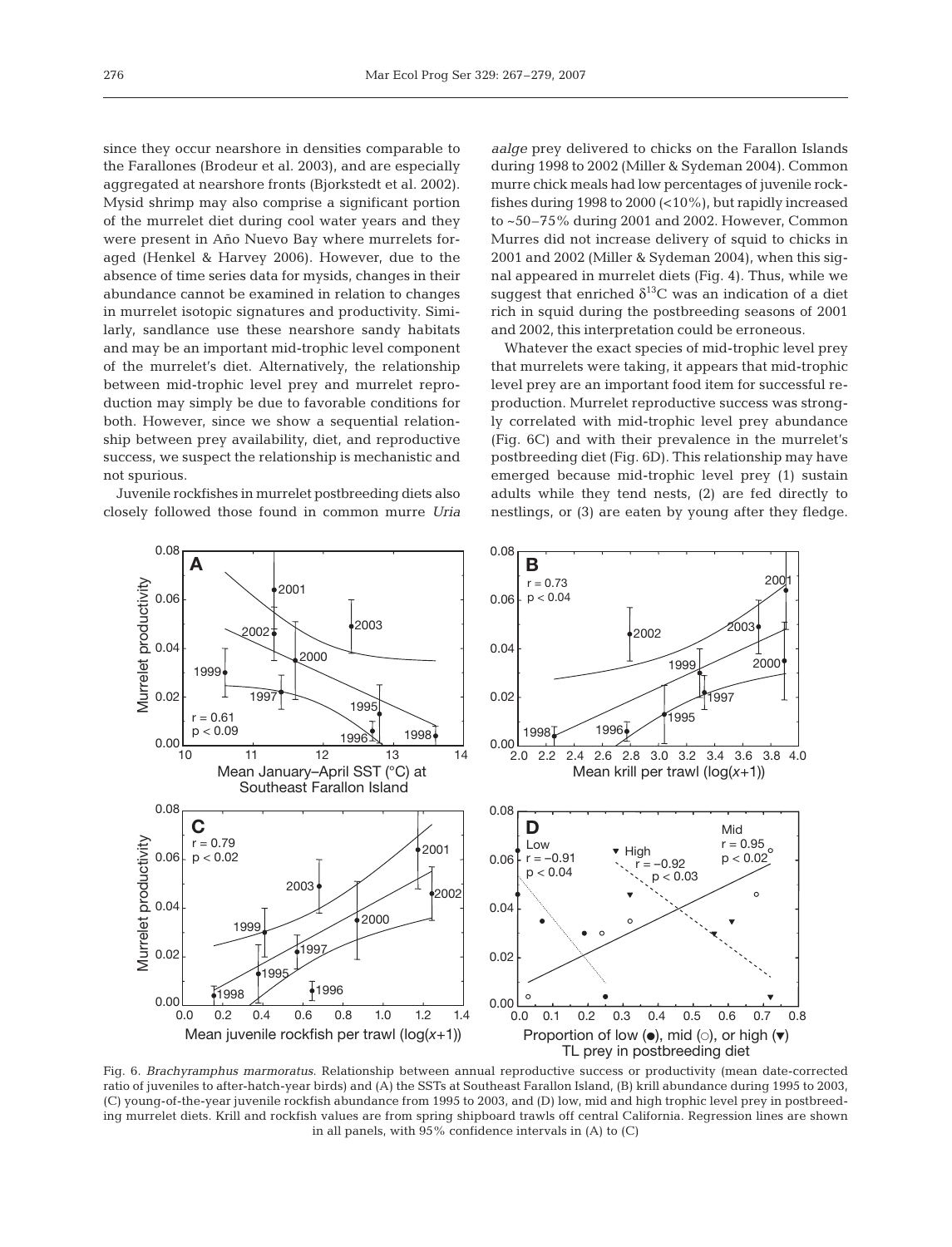since they occur nearshore in densities comparable to the Farallones (Brodeur et al. 2003), and are especially aggregated at nearshore fronts (Bjorkstedt et al. 2002). Mysid shrimp may also comprise a significant portion of the murrelet diet during cool water years and they were present in Año Nuevo Bay where murrelets foraged (Henkel & Harvey 2006). However, due to the absence of time series data for mysids, changes in their abundance cannot be examined in relation to changes in murrelet isotopic signatures and productivity. Similarly, sandlance use these nearshore sandy habitats and may be an important mid-trophic level component of the murrelet's diet. Alternatively, the relationship between mid-trophic level prey and murrelet reproduction may simply be due to favorable conditions for both. However, since we show a sequential relationship between prey availability, diet, and reproductive success, we suspect the relationship is mechanistic and not spurious.

Juvenile rockfishes in murrelet postbreeding diets also closely followed those found in common murre *Uria* *aalge* prey delivered to chicks on the Farallon Islands during 1998 to 2002 (Miller & Sydeman 2004). Common murre chick meals had low percentages of juvenile rockfishes during 1998 to 2000 (<10%), but rapidly increased to ~50–75% during 2001 and 2002. However, Common Murres did not increase delivery of squid to chicks in 2001 and 2002 (Miller & Sydeman 2004), when this signal appeared in murrelet diets (Fig. 4). Thus, while we suggest that enriched  $\delta^{13}$ C was an indication of a diet rich in squid during the postbreeding seasons of 2001 and 2002, this interpretation could be erroneous.

Whatever the exact species of mid-trophic level prey that murrelets were taking, it appears that mid-trophic level prey are an important food item for successful reproduction. Murrelet reproductive success was strongly correlated with mid-trophic level prey abundance (Fig. 6C) and with their prevalence in the murrelet's postbreeding diet (Fig. 6D). This relationship may have emerged because mid-trophic level prey (1) sustain adults while they tend nests, (2) are fed directly to nestlings, or (3) are eaten by young after they fledge.



Fig. 6. *Brachyramphus marmoratus*. Relationship between annual reproductive success or productivity (mean date-corrected ratio of juveniles to after-hatch-year birds) and (A) the SSTs at Southeast Farallon Island, (B) krill abundance during 1995 to 2003, (C) young-of-the-year juvenile rockfish abundance from 1995 to 2003, and (D) low, mid and high trophic level prey in postbreeding murrelet diets. Krill and rockfish values are from spring shipboard trawls off central California. Regression lines are shown in all panels, with 95% confidence intervals in (A) to (C)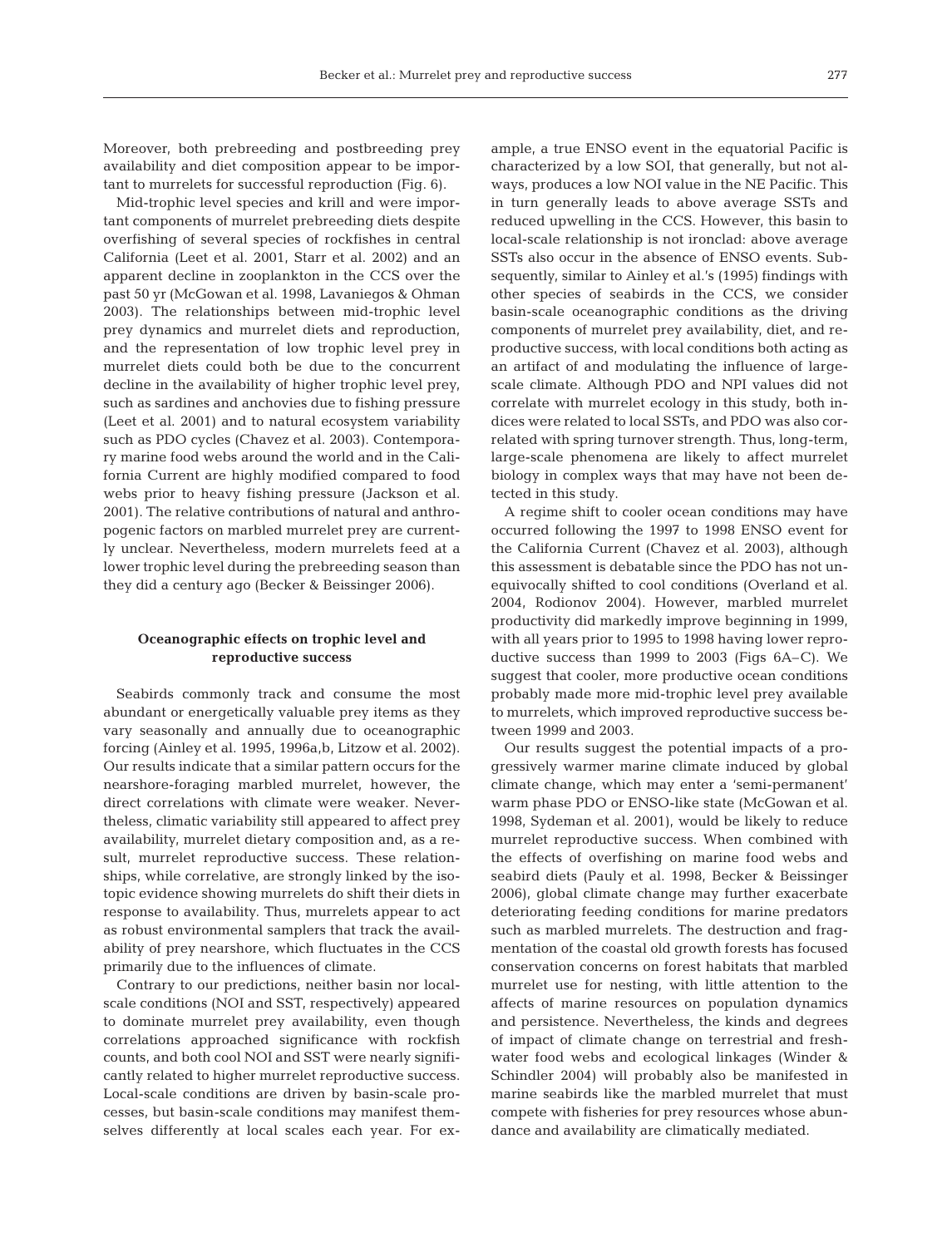Moreover, both prebreeding and postbreeding prey availability and diet composition appear to be important to murrelets for successful reproduction (Fig. 6).

Mid-trophic level species and krill and were important components of murrelet prebreeding diets despite overfishing of several species of rockfishes in central California (Leet et al. 2001, Starr et al. 2002) and an apparent decline in zooplankton in the CCS over the past 50 yr (McGowan et al. 1998, Lavaniegos & Ohman 2003). The relationships between mid-trophic level prey dynamics and murrelet diets and reproduction, and the representation of low trophic level prey in murrelet diets could both be due to the concurrent decline in the availability of higher trophic level prey, such as sardines and anchovies due to fishing pressure (Leet et al. 2001) and to natural ecosystem variability such as PDO cycles (Chavez et al. 2003). Contemporary marine food webs around the world and in the California Current are highly modified compared to food webs prior to heavy fishing pressure (Jackson et al. 2001). The relative contributions of natural and anthropogenic factors on marbled murrelet prey are currently unclear. Nevertheless, modern murrelets feed at a lower trophic level during the prebreeding season than they did a century ago (Becker & Beissinger 2006).

### **Oceanographic effects on trophic level and reproductive success**

Seabirds commonly track and consume the most abundant or energetically valuable prey items as they vary seasonally and annually due to oceanographic forcing (Ainley et al. 1995, 1996a,b, Litzow et al. 2002). Our results indicate that a similar pattern occurs for the nearshore-foraging marbled murrelet, however, the direct correlations with climate were weaker. Nevertheless, climatic variability still appeared to affect prey availability, murrelet dietary composition and, as a result, murrelet reproductive success. These relationships, while correlative, are strongly linked by the isotopic evidence showing murrelets do shift their diets in response to availability. Thus, murrelets appear to act as robust environmental samplers that track the availability of prey nearshore, which fluctuates in the CCS primarily due to the influences of climate.

Contrary to our predictions, neither basin nor localscale conditions (NOI and SST, respectively) appeared to dominate murrelet prey availability, even though correlations approached significance with rockfish counts, and both cool NOI and SST were nearly significantly related to higher murrelet reproductive success. Local-scale conditions are driven by basin-scale processes, but basin-scale conditions may manifest themselves differently at local scales each year. For ex-

ample, a true ENSO event in the equatorial Pacific is characterized by a low SOI, that generally, but not always, produces a low NOI value in the NE Pacific. This in turn generally leads to above average SSTs and reduced upwelling in the CCS. However, this basin to local-scale relationship is not ironclad: above average SSTs also occur in the absence of ENSO events. Subsequently, similar to Ainley et al.'s (1995) findings with other species of seabirds in the CCS, we consider basin-scale oceanographic conditions as the driving components of murrelet prey availability, diet, and reproductive success, with local conditions both acting as an artifact of and modulating the influence of largescale climate. Although PDO and NPI values did not correlate with murrelet ecology in this study, both indices were related to local SSTs, and PDO was also correlated with spring turnover strength. Thus, long-term, large-scale phenomena are likely to affect murrelet biology in complex ways that may have not been detected in this study.

A regime shift to cooler ocean conditions may have occurred following the 1997 to 1998 ENSO event for the California Current (Chavez et al. 2003), although this assessment is debatable since the PDO has not unequivocally shifted to cool conditions (Overland et al. 2004, Rodionov 2004). However, marbled murrelet productivity did markedly improve beginning in 1999, with all years prior to 1995 to 1998 having lower reproductive success than 1999 to 2003 (Figs 6A–C). We suggest that cooler, more productive ocean conditions probably made more mid-trophic level prey available to murrelets, which improved reproductive success between 1999 and 2003.

Our results suggest the potential impacts of a progressively warmer marine climate induced by global climate change, which may enter a 'semi-permanent' warm phase PDO or ENSO-like state (McGowan et al. 1998, Sydeman et al. 2001), would be likely to reduce murrelet reproductive success. When combined with the effects of overfishing on marine food webs and seabird diets (Pauly et al. 1998, Becker & Beissinger 2006), global climate change may further exacerbate deteriorating feeding conditions for marine predators such as marbled murrelets. The destruction and fragmentation of the coastal old growth forests has focused conservation concerns on forest habitats that marbled murrelet use for nesting, with little attention to the affects of marine resources on population dynamics and persistence. Nevertheless, the kinds and degrees of impact of climate change on terrestrial and freshwater food webs and ecological linkages (Winder & Schindler 2004) will probably also be manifested in marine seabirds like the marbled murrelet that must compete with fisheries for prey resources whose abundance and availability are climatically mediated.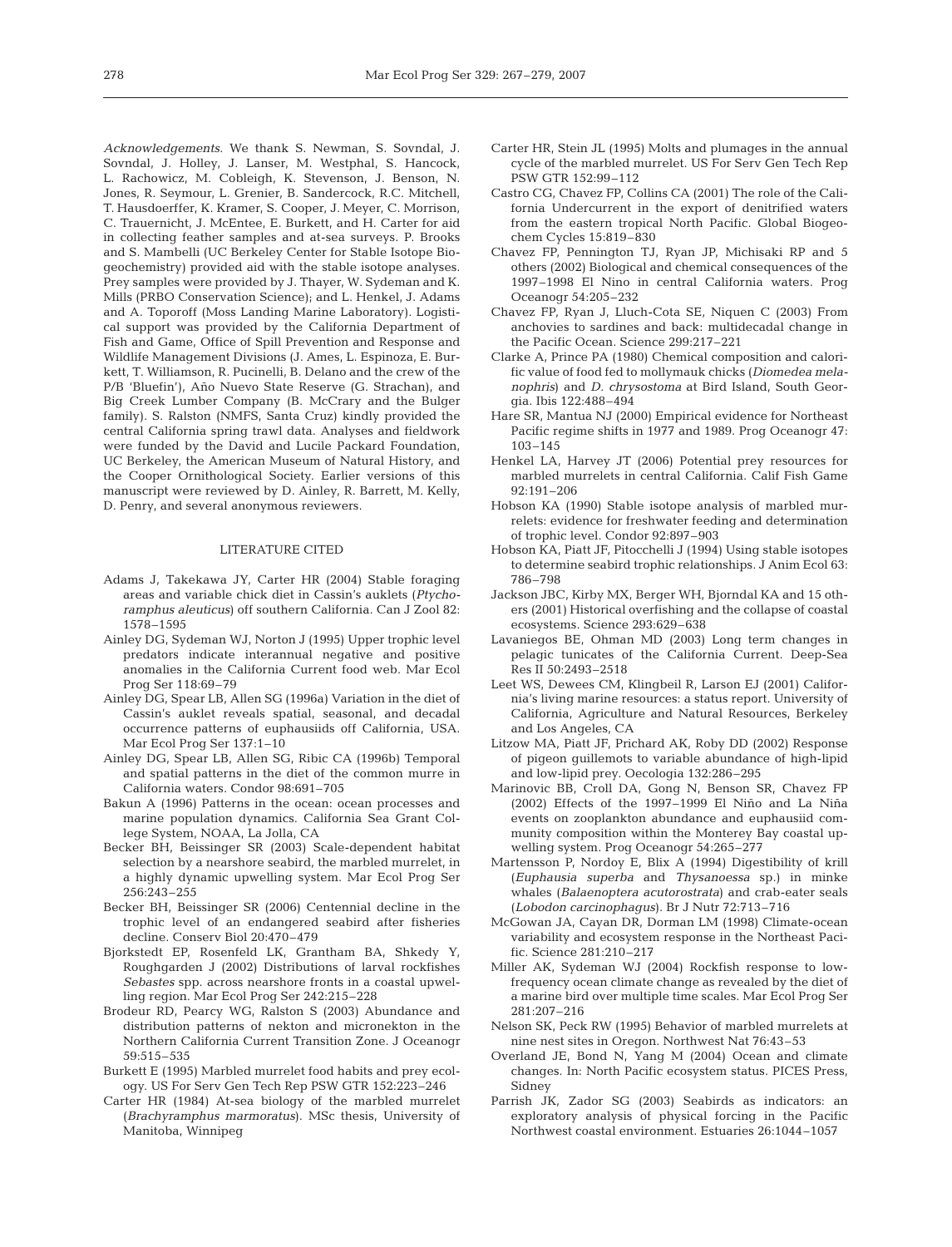*Acknowledgements.* We thank S. Newman, S. Sovndal, J. Sovndal, J. Holley, J. Lanser, M. Westphal, S. Hancock, L. Rachowicz, M. Cobleigh, K. Stevenson, J. Benson, N. Jones, R. Seymour, L. Grenier, B. Sandercock, R.C. Mitchell, T. Hausdoerffer, K. Kramer, S. Cooper, J. Meyer, C. Morrison, C. Trauernicht, J. McEntee, E. Burkett, and H. Carter for aid in collecting feather samples and at-sea surveys. P. Brooks and S. Mambelli (UC Berkeley Center for Stable Isotope Biogeochemistry) provided aid with the stable isotope analyses. Prey samples were provided by J. Thayer, W. Sydeman and K. Mills (PRBO Conservation Science); and L. Henkel, J. Adams and A. Toporoff (Moss Landing Marine Laboratory). Logistical support was provided by the California Department of Fish and Game, Office of Spill Prevention and Response and Wildlife Management Divisions (J. Ames, L. Espinoza, E. Burkett, T. Williamson, R. Pucinelli, B. Delano and the crew of the P/B 'Bluefin'), Año Nuevo State Reserve (G. Strachan), and Big Creek Lumber Company (B. McCrary and the Bulger family). S. Ralston (NMFS, Santa Cruz) kindly provided the central California spring trawl data. Analyses and fieldwork were funded by the David and Lucile Packard Foundation, UC Berkeley, the American Museum of Natural History, and the Cooper Ornithological Society. Earlier versions of this manuscript were reviewed by D. Ainley, R. Barrett, M. Kelly, D. Penry, and several anonymous reviewers.

#### LITERATURE CITED

- Adams J, Takekawa JY, Carter HR (2004) Stable foraging areas and variable chick diet in Cassin's auklets (*Ptychoramphus aleuticus*) off southern California. Can J Zool 82: 1578–1595
- Ainley DG, Sydeman WJ, Norton J (1995) Upper trophic level predators indicate interannual negative and positive anomalies in the California Current food web. Mar Ecol Prog Ser 118:69–79
- Ainley DG, Spear LB, Allen SG (1996a) Variation in the diet of Cassin's auklet reveals spatial, seasonal, and decadal occurrence patterns of euphausiids off California, USA. Mar Ecol Prog Ser 137:1–10
- Ainley DG, Spear LB, Allen SG, Ribic CA (1996b) Temporal and spatial patterns in the diet of the common murre in California waters. Condor 98:691–705
- Bakun A (1996) Patterns in the ocean: ocean processes and marine population dynamics. California Sea Grant College System, NOAA, La Jolla, CA
- Becker BH, Beissinger SR (2003) Scale-dependent habitat selection by a nearshore seabird, the marbled murrelet, in a highly dynamic upwelling system. Mar Ecol Prog Ser 256:243–255
- Becker BH, Beissinger SR (2006) Centennial decline in the trophic level of an endangered seabird after fisheries decline. Conserv Biol 20:470–479
- Bjorkstedt EP, Rosenfeld LK, Grantham BA, Shkedy Y, Roughgarden J (2002) Distributions of larval rockfishes *Sebastes* spp. across nearshore fronts in a coastal upwelling region. Mar Ecol Prog Ser 242:215–228
- Brodeur RD, Pearcy WG, Ralston S (2003) Abundance and distribution patterns of nekton and micronekton in the Northern California Current Transition Zone. J Oceanogr 59:515–535
- Burkett E (1995) Marbled murrelet food habits and prey ecology. US For Serv Gen Tech Rep PSW GTR 152:223–246
- Carter HR (1984) At-sea biology of the marbled murrelet (*Brachyramphus marmoratus*). MSc thesis, University of Manitoba, Winnipeg
- Carter HR, Stein JL (1995) Molts and plumages in the annual cycle of the marbled murrelet. US For Serv Gen Tech Rep PSW GTR 152:99–112
- Castro CG, Chavez FP, Collins CA (2001) The role of the California Undercurrent in the export of denitrified waters from the eastern tropical North Pacific. Global Biogeochem Cycles 15:819–830
- Chavez FP, Pennington TJ, Ryan JP, Michisaki RP and 5 others (2002) Biological and chemical consequences of the 1997–1998 El Nino in central California waters. Prog Oceanogr 54:205–232
- Chavez FP, Ryan J, Lluch-Cota SE, Niquen C (2003) From anchovies to sardines and back: multidecadal change in the Pacific Ocean. Science 299:217–221
- Clarke A, Prince PA (1980) Chemical composition and calorific value of food fed to mollymauk chicks (*Diomedea melanophris*) and *D. chrysostoma* at Bird Island, South Georgia. Ibis 122:488–494
- Hare SR, Mantua NJ (2000) Empirical evidence for Northeast Pacific regime shifts in 1977 and 1989. Prog Oceanogr 47: 103–145
- Henkel LA, Harvey JT (2006) Potential prey resources for marbled murrelets in central California. Calif Fish Game 92:191–206
- Hobson KA (1990) Stable isotope analysis of marbled murrelets: evidence for freshwater feeding and determination of trophic level. Condor 92:897–903
- Hobson KA, Piatt JF, Pitocchelli J (1994) Using stable isotopes to determine seabird trophic relationships. J Anim Ecol 63: 786–798
- Jackson JBC, Kirby MX, Berger WH, Bjorndal KA and 15 others (2001) Historical overfishing and the collapse of coastal ecosystems. Science 293:629–638
- Lavaniegos BE, Ohman MD (2003) Long term changes in pelagic tunicates of the California Current. Deep-Sea Res II 50:2493–2518
- Leet WS, Dewees CM, Klingbeil R, Larson EJ (2001) California's living marine resources: a status report. University of California, Agriculture and Natural Resources, Berkeley and Los Angeles, CA
- Litzow MA, Piatt JF, Prichard AK, Roby DD (2002) Response of pigeon guillemots to variable abundance of high-lipid and low-lipid prey. Oecologia 132:286–295
- Marinovic BB, Croll DA, Gong N, Benson SR, Chavez FP (2002) Effects of the 1997–1999 El Niño and La Niña events on zooplankton abundance and euphausiid community composition within the Monterey Bay coastal upwelling system. Prog Oceanogr 54:265–277
- Martensson P, Nordoy E, Blix A (1994) Digestibility of krill (*Euphausia superba* and *Thysanoessa* sp.) in minke whales (*Balaenoptera acutorostrata*) and crab-eater seals (*Lobodon carcinophagus*). Br J Nutr 72:713–716
- McGowan JA, Cayan DR, Dorman LM (1998) Climate-ocean variability and ecosystem response in the Northeast Pacific. Science 281:210–217
- Miller AK, Sydeman WJ (2004) Rockfish response to lowfrequency ocean climate change as revealed by the diet of a marine bird over multiple time scales. Mar Ecol Prog Ser 281:207–216
- Nelson SK, Peck RW (1995) Behavior of marbled murrelets at nine nest sites in Oregon. Northwest Nat 76:43–53
- Overland JE, Bond N, Yang M (2004) Ocean and climate changes. In: North Pacific ecosystem status. PICES Press, Sidney
- Parrish JK, Zador SG (2003) Seabirds as indicators: an exploratory analysis of physical forcing in the Pacific Northwest coastal environment. Estuaries 26:1044–1057